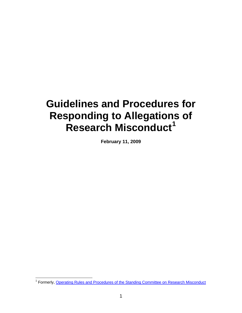# **Guidelines and Procedures for Responding to Allegations of Research Misconduct[1](#page-0-0)**

**February 11, 2009** 

<span id="page-0-0"></span><sup>&</sup>lt;u>net the metal</u><br><sup>1</sup> Formerly, [Operating Rules and Procedures of the Standing Committee on Research Misconduct](http://www.colorado.edu/VCResearch/ORI/scrm/oldrules.html)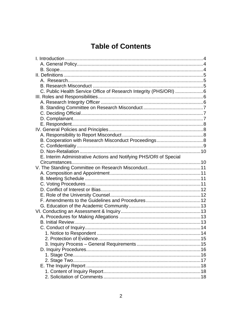### **Table of Contents**

| C. Public Health Service Office of Research Integrity (PHS/ORI) 6  |  |
|--------------------------------------------------------------------|--|
|                                                                    |  |
|                                                                    |  |
|                                                                    |  |
|                                                                    |  |
|                                                                    |  |
|                                                                    |  |
|                                                                    |  |
|                                                                    |  |
|                                                                    |  |
|                                                                    |  |
|                                                                    |  |
| E. Interim Administrative Actions and Notifying PHS/ORI of Special |  |
|                                                                    |  |
|                                                                    |  |
|                                                                    |  |
|                                                                    |  |
|                                                                    |  |
|                                                                    |  |
|                                                                    |  |
|                                                                    |  |
|                                                                    |  |
|                                                                    |  |
|                                                                    |  |
|                                                                    |  |
|                                                                    |  |
|                                                                    |  |
|                                                                    |  |
|                                                                    |  |
|                                                                    |  |
|                                                                    |  |
|                                                                    |  |
|                                                                    |  |
|                                                                    |  |
|                                                                    |  |
|                                                                    |  |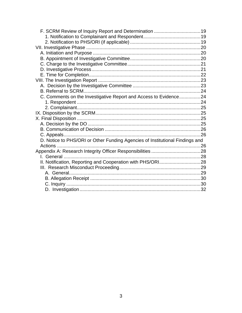| C. Comments on the Investigative Report and Access to Evidence24             |  |
|------------------------------------------------------------------------------|--|
|                                                                              |  |
|                                                                              |  |
|                                                                              |  |
|                                                                              |  |
|                                                                              |  |
|                                                                              |  |
|                                                                              |  |
| D. Notice to PHS/ORI or Other Funding Agencies of Institutional Findings and |  |
|                                                                              |  |
|                                                                              |  |
| I. General                                                                   |  |
|                                                                              |  |
|                                                                              |  |
|                                                                              |  |
|                                                                              |  |
|                                                                              |  |
|                                                                              |  |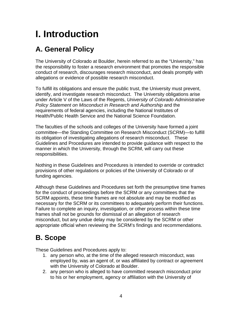# <span id="page-3-0"></span>**I. Introduction**

# **A. General Policy**

The University of Colorado at Boulder, herein referred to as the "University," has the responsibility to foster a research environment that promotes the responsible conduct of research, discourages research misconduct, and deals promptly with allegations or evidence of possible research misconduct.

To fulfill its obligations and ensure the public trust, the University must prevent, identify, and investigate research misconduct. The University obligations arise under Article V of the Laws of the Regents, *University of Colorado Administrative Policy Statement on Misconduct in Research and Authorship* and the requirements of federal agencies, including the National Institutes of Health/Public Health Service and the National Science Foundation.

The faculties of the schools and colleges of the University have formed a joint committee—the Standing Committee on Research Misconduct (SCRM)—to fulfill its obligation of investigating allegations of research misconduct. These Guidelines and Procedures are intended to provide guidance with respect to the manner in which the University, through the SCRM, will carry out these responsibilities.

Nothing in these Guidelines and Procedures is intended to override or contradict provisions of other regulations or policies of the University of Colorado or of funding agencies.

Although these Guidelines and Procedures set forth the presumptive time frames for the conduct of proceedings before the SCRM or any committees that the SCRM appoints, these time frames are not absolute and may be modified as necessary for the SCRM or its committees to adequately perform their functions. Failure to complete an inquiry, investigation, or other process within these time frames shall not be grounds for dismissal of an allegation of research misconduct, but any undue delay may be considered by the SCRM or other appropriate official when reviewing the SCRM's findings and recommendations.

### **B. Scope**

These Guidelines and Procedures apply to:

- 1. any person who, at the time of the alleged research misconduct, was employed by, was an agent of, or was affiliated by contract or agreement with the University of Colorado at Boulder.
- 2. any person who is alleged to have committed research misconduct prior to his or her employment, agency or affiliation with the University of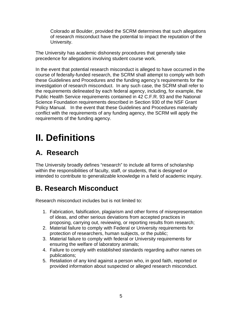<span id="page-4-0"></span>Colorado at Boulder, provided the SCRM determines that such allegations of research misconduct have the potential to impact the reputation of the University.

The University has academic dishonesty procedures that generally take precedence for allegations involving student course work.

In the event that potential research misconduct is alleged to have occurred in the course of federally-funded research, the SCRM shall attempt to comply with both these Guidelines and Procedures and the funding agency's requirements for the investigation of research misconduct. In any such case, the SCRM shall refer to the requirements delineated by each federal agency, including, for example, the Public Health Service requirements contained in 42 C.F.R. 93 and the National Science Foundation requirements described in Section 930 of the NSF Grant Policy Manual. In the event that these Guidelines and Procedures materially conflict with the requirements of any funding agency, the SCRM will apply the requirements of the funding agency.

# **II. Definitions**

### **A. Research**

The University broadly defines "research" to include all forms of scholarship within the responsibilities of faculty, staff, or students, that is designed or intended to contribute to generalizable knowledge in a field of academic inquiry.

### **B. Research Misconduct**

Research misconduct includes but is not limited to:

- 1. Fabrication, falsification, plagiarism and other forms of misrepresentation of ideas, and other serious deviations from accepted practices in proposing, carrying out, reviewing, or reporting results from research;
- 2. Material failure to comply with Federal or University requirements for protection of researchers, human subjects, or the public;
- 3. Material failure to comply with federal or University requirements for ensuring the welfare of laboratory animals;
- 4. Failure to comply with established standards regarding author names on publications;
- 5. Retaliation of any kind against a person who, in good faith, reported or provided information about suspected or alleged research misconduct.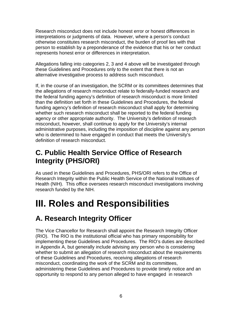<span id="page-5-0"></span>Research misconduct does not include honest error or honest differences in interpretations or judgments of data. However, where a person's conduct otherwise constitutes research misconduct, the burden of proof lies with that person to establish by a preponderance of the evidence that his or her conduct represents honest error or differences in interpretation.

Allegations falling into categories 2, 3 and 4 above will be investigated through these Guidelines and Procedures only to the extent that there is not an alternative investigative process to address such misconduct.

If, in the course of an investigation, the SCRM or its committees determines that the allegations of research misconduct relate to federally-funded research and the federal funding agency's definition of research misconduct is more limited than the definition set forth in these Guidelines and Procedures, the federal funding agency's definition of research misconduct shall apply for determining whether such research misconduct shall be reported to the federal funding agency or other appropriate authority. The University's definition of research misconduct, however, shall continue to apply for the University's internal administrative purposes, including the imposition of discipline against any person who is determined to have engaged in conduct that meets the University's definition of research misconduct.

### **C. Public Health Service Office of Research Integrity (PHS/ORI)**

As used in these Guidelines and Procedures, PHS/ORI refers to the Office of Research Integrity within the Public Health Service of the National Institutes of Health (NIH). This office oversees research misconduct investigations involving research funded by the NIH.

# **III. Roles and Responsibilities**

### **A. Research Integrity Officer**

The Vice Chancellor for Research shall appoint the Research Integrity Officer (RIO). The RIO is the institutional official who has primary responsibility for implementing these Guidelines and Procedures. The RIO's duties are described in Appendix A, but generally include advising any person who is considering whether to submit an allegation of research misconduct about the requirements of these Guidelines and Procedures, receiving allegations of research misconduct, coordinating the work of the SCRM and its committees, administering these Guidelines and Procedures to provide timely notice and an opportunity to respond to any person alleged to have engaged in research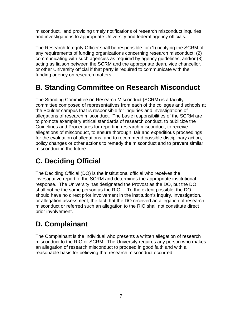<span id="page-6-0"></span>misconduct, and providing timely notifications of research misconduct inquiries and investigations to appropriate University and federal agency officials.

The Research Integrity Officer shall be responsible for (1) notifying the SCRM of any requirements of funding organizations concerning research misconduct; (2) communicating with such agencies as required by agency guidelines; and/or (3) acting as liaison between the SCRM and the appropriate dean, vice chancellor, or other University official if that party is required to communicate with the funding agency on research matters.

# **B. Standing Committee on Research Misconduct**

The Standing Committee on Research Misconduct (SCRM) is a faculty committee composed of representatives from each of the colleges and schools at the Boulder campus that is responsible for inquiries and investigations of allegations of research misconduct. The basic responsibilities of the SCRM are to promote exemplary ethical standards of research conduct, to publicize the Guidelines and Procedures for reporting research misconduct, to receive allegations of misconduct, to ensure thorough, fair and expeditious proceedings for the evaluation of allegations, and to recommend possible disciplinary action, policy changes or other actions to remedy the misconduct and to prevent similar misconduct in the future.

# **C. Deciding Official**

The Deciding Official (DO) is the institutional official who receives the investigative report of the SCRM and determines the appropriate institutional response. The University has designated the Provost as the DO, but the DO shall not be the same person as the RIO. To the extent possible, the DO should have no direct prior involvement in the institution's inquiry, investigation, or allegation assessment; the fact that the DO received an allegation of research misconduct or referred such an allegation to the RIO shall not constitute direct prior involvement.

# **D. Complainant**

The Complainant is the individual who presents a written allegation of research misconduct to the RIO or SCRM. The University requires any person who makes an allegation of research misconduct to proceed in good faith and with a reasonable basis for believing that research misconduct occurred.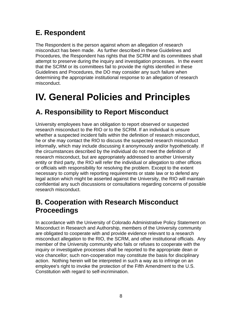## <span id="page-7-0"></span>**E. Respondent**

The Respondent is the person against whom an allegation of research misconduct has been made. As further described in these Guidelines and Procedures, the Respondent has rights that the SCRM and its committees shall attempt to preserve during the inquiry and investigation processes. In the event that the SCRM or its committees fail to provide the rights identified in these Guidelines and Procedures, the DO may consider any such failure when determining the appropriate institutional response to an allegation of research misconduct.

# **IV. General Policies and Principles**

## **A. Responsibility to Report Misconduct**

University employees have an obligation to report observed or suspected research misconduct to the RIO or to the SCRM. If an individual is unsure whether a suspected incident falls within the definition of research misconduct, he or she may contact the RIO to discuss the suspected research misconduct informally, which may include discussing it anonymously and/or hypothetically. If the circumstances described by the individual do not meet the definition of research misconduct, but are appropriately addressed to another University entity or third party, the RIO will refer the individual or allegation to other offices or officials with responsibility for resolving the problem. Except to the extent necessary to comply with reporting requirements or state law or to defend any legal action which might be asserted against the University, the RIO will maintain confidential any such discussions or consultations regarding concerns of possible research misconduct.

### **B. Cooperation with Research Misconduct Proceedings**

In accordance with the University of Colorado Administrative Policy Statement on Misconduct in Research and Authorship, members of the University community are obligated to cooperate with and provide evidence relevant to a research misconduct allegation to the RIO, the SCRM, and other institutional officials. Any member of the University community who fails or refuses to cooperate with the inquiry or investigative processes shall be reported to the appropriate dean or vice chancellor; such non-cooperation may constitute the basis for disciplinary action. Nothing herein will be interpreted in such a way as to infringe on an employee's right to invoke the protection of the Fifth Amendment to the U.S. Constitution with regard to self-incrimination.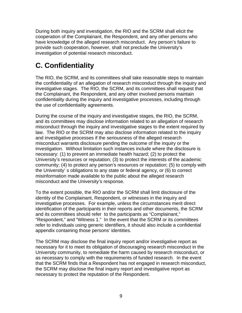<span id="page-8-0"></span>During both inquiry and investigation, the RIO and the SCRM shall elicit the cooperation of the Complainant, the Respondent, and any other persons who have knowledge of the alleged research misconduct. Any person's failure to provide such cooperation, however, shall not preclude the University's investigation of potential research misconduct.

# **C. Confidentiality**

The RIO, the SCRM, and its committees shall take reasonable steps to maintain the confidentiality of an allegation of research misconduct through the inquiry and investigative stages. The RIO, the SCRM, and its committees shall request that the Complainant, the Respondent, and any other involved persons maintain confidentiality during the inquiry and investigative processes, including through the use of confidentiality agreements.

During the course of the inquiry and investigative stages, the RIO, the SCRM, and its committees may disclose information related to an allegation of research misconduct through the inquiry and investigative stages to the extent required by law. The RIO or the SCRM may also disclose information related to the inquiry and investigative processes if the seriousness of the alleged research misconduct warrants disclosure pending the outcome of the inquiry or the investigation. Without limitation such instances include where the disclosure is necessary: (1) to prevent an immediate health hazard; (2) to protect the University's resources or reputation; (3) to protect the interests of the academic community; (4) to protect any person's resources or reputation; (5) to comply with the University' s obligations to any state or federal agency, or (6) to correct misinformation made available to the public about the alleged research misconduct and the University's response.

To the extent possible, the RIO and/or the SCRM shall limit disclosure of the identity of the Complainant, Respondent, or witnesses in the inquiry and investigative processes. For example, unless the circumstances merit direct identification of the participants in their reports and other documents, the SCRM and its committees should refer to the participants as "Complainant," "Respondent," and "Witness 1." In the event that the SCRM or its committees refer to individuals using generic identifiers, it should also include a confidential appendix containing those persons' identities.

The SCRM may disclose the final inquiry report and/or investigative report as necessary for it to meet its obligation of discouraging research misconduct in the University community, to remediate the harm caused by research misconduct, or as necessary to comply with the requirements of funded research. In the event that the SCRM finds that a Respondent has not engaged in research misconduct, the SCRM may disclose the final inquiry report and investigative report as necessary to protect the reputation of the Respondent.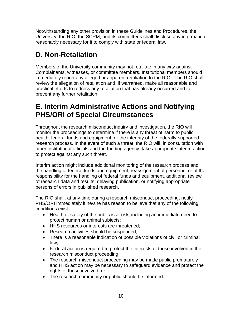<span id="page-9-0"></span>Notwithstanding any other provision in these Guidelines and Procedures, the University, the RIO, the SCRM, and its committees shall disclose any information reasonably necessary for it to comply with state or federal law.

# **D. Non-Retaliation**

Members of the University community may not retaliate in any way against Complainants, witnesses, or committee members. Institutional members should immediately report any alleged or apparent retaliation to the RIO. The RIO shall review the allegation of retaliation and, if warranted, make all reasonable and practical efforts to redress any retaliation that has already occurred and to prevent any further retaliation.

### **E. Interim Administrative Actions and Notifying PHS/ORI of Special Circumstances**

Throughout the research misconduct inquiry and investigation, the RIO will monitor the proceedings to determine if there is any threat of harm to public health, federal funds and equipment, or the integrity of the federally-supported research process. In the event of such a threat, the RIO will, in consultation with other institutional officials and the funding agency, take appropriate interim action to protect against any such threat.

Interim action might include additional monitoring of the research process and the handling of federal funds and equipment, reassignment of personnel or of the responsibility for the handling of federal funds and equipment, additional review of research data and results, delaying publication, or notifying appropriate persons of errors in published research.

The RIO shall, at any time during a research misconduct proceeding, notify PHS/ORI immediately if he/she has reason to believe that any of the following conditions exist:

- Health or safety of the public is at risk, including an immediate need to protect human or animal subjects;
- HHS resources or interests are threatened;
- Research activities should be suspended;
- There is a reasonable indication of possible violations of civil or criminal law;
- Federal action is required to protect the interests of those involved in the research misconduct proceeding;
- The research misconduct proceeding may be made public prematurely and HHS action may be necessary to safeguard evidence and protect the rights of those involved; or
- The research community or public should be informed.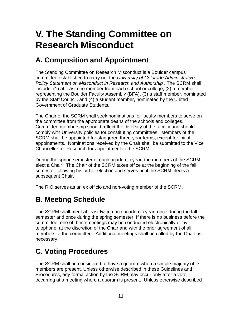# <span id="page-10-0"></span>**V. The Standing Committee on Research Misconduct**

### **A. Composition and Appointment**

The Standing Committee on Research Misconduct is a Boulder campus committee established to carry out the *University of Colorado Administrative Policy Statement on Misconduct in Research and Authorship* . The SCRM shall include: (1) at least one member from each school or college, (2) a member representing the Boulder Faculty Assembly (BFA), (3) a staff member, nominated by the Staff Council, and (4) a student member, nominated by the United Government of Graduate Students.

The Chair of the SCRM shall seek nominations for faculty members to serve on the committee from the appropriate deans of the schools and colleges. Committee membership should reflect the diversity of the faculty and should comply with University policies for constituting committees. Members of the SCRM shall be appointed for staggered three-year terms, except for initial appointments. Nominations received by the Chair shall be submitted to the Vice Chancellor for Research for appointment to the SCRM.

During the spring semester of each academic year, the members of the SCRM elect a Chair. The Chair of the SCRM takes office at the beginning of the fall semester following his or her election and serves until the SCRM elects a subsequent Chair.

The RIO serves as an ex officio and non-voting member of the SCRM.

### **B. Meeting Schedule**

The SCRM shall meet at least twice each academic year, once during the fall semester and once during the spring semester. If there is no business before the committee, one of these meetings may be conducted electronically or by telephone, at the discretion of the Chair and with the prior agreement of all members of the committee. Additional meetings shall be called by the Chair as necessary.

# **C. Voting Procedures**

The SCRM shall be considered to have a quorum when a simple majority of its members are present. Unless otherwise described in these Guidelines and Procedures, any formal action by the SCRM may occur only after a vote occurring at a meeting where a quorum is present. Unless otherwise described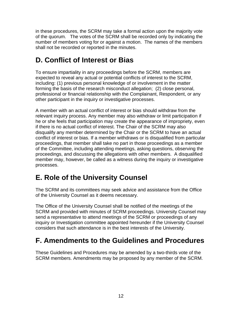<span id="page-11-0"></span>in these procedures, the SCRM may take a formal action upon the majority vote of the quorum. The votes of the SCRM shall be recorded only by indicating the number of members voting for or against a motion. The names of the members shall not be recorded or reported in the minutes.

## **D. Conflict of Interest or Bias**

To ensure impartiality in any proceedings before the SCRM, members are expected to reveal any actual or potential conflicts of interest to the SCRM, including: (1) previous personal knowledge of or involvement in the matter forming the basis of the research misconduct allegation; (2) close personal, professional or financial relationship with the Complainant, Respondent, or any other participant in the inquiry or investigative processes.

A member with an actual conflict of interest or bias should withdraw from the relevant inquiry process. Any member may also withdraw or limit participation if he or she feels that participation may create the appearance of impropriety, even if there is no actual conflict of interest. The Chair of the SCRM may also disqualify any member determined by the Chair or the SCRM to have an actual conflict of interest or bias. If a member withdraws or is disqualified from particular proceedings, that member shall take no part in those proceedings as a member of the Committee, including attending meetings, asking questions, observing the proceedings, and discussing the allegations with other members. A disqualified member may, however, be called as a witness during the inquiry or investigative processes.

### **E. Role of the University Counsel**

The SCRM and its committees may seek advice and assistance from the Office of the University Counsel as it deems necessary.

The Office of the University Counsel shall be notified of the meetings of the SCRM and provided with minutes of SCRM proceedings. University Counsel may send a representative to attend meetings of the SCRM or proceedings of any inquiry or Investigation committee appointed hereunder if the University Counsel considers that such attendance is in the best interests of the University.

### **F. Amendments to the Guidelines and Procedures**

These Guidelines and Procedures may be amended by a two-thirds vote of the SCRM members. Amendments may be proposed by any member of the SCRM.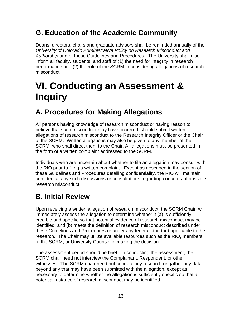### <span id="page-12-0"></span>**G. Education of the Academic Community**

Deans, directors, chairs and graduate advisors shall be reminded annually of the *University of Colorado Administrative Policy on Research Misconduct and Authorship* and of these Guidelines and Procedures. The University shall also inform all faculty, students, and staff of (1) the need for integrity in research performance and (2) the role of the SCRM in considering allegations of research misconduct.

# **VI. Conducting an Assessment & Inquiry**

### **A. Procedures for Making Allegations**

All persons having knowledge of research misconduct or having reason to believe that such misconduct may have occurred, should submit written allegations of research misconduct to the Research Integrity Officer or the Chair of the SCRM. Written allegations may also be given to any member of the SCRM, who shall direct them to the Chair. All allegations must be presented in the form of a written complaint addressed to the SCRM.

Individuals who are uncertain about whether to file an allegation may consult with the RIO prior to filing a written complaint. Except as described in the section of these Guidelines and Procedures detailing confidentiality, the RIO will maintain confidential any such discussions or consultations regarding concerns of possible research misconduct.

### **B. Initial Review**

Upon receiving a written allegation of research misconduct, the SCRM Chair will immediately assess the allegation to determine whether it (a) is sufficiently credible and specific so that potential evidence of research misconduct may be identified, and (b) meets the definition of research misconduct described under these Guidelines and Procedures or under any federal standard applicable to the research. The Chair may utilize available resources such as the RIO, members of the SCRM, or University Counsel in making the decision.

The assessment period should be brief. In conducting the assessment, the SCRM chair need not interview the Complainant, Respondent, or other witnesses. The SCRM chair need not conduct any research or gather any data beyond any that may have been submitted with the allegation, except as necessary to determine whether the allegation is sufficiently specific so that a potential instance of research misconduct may be identified.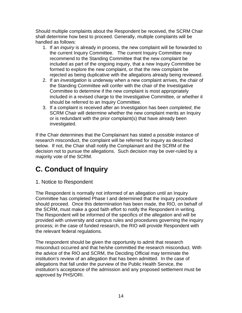<span id="page-13-0"></span>Should multiple complaints about the Respondent be received, the SCRM Chair shall determine how best to proceed. Generally, multiple complaints will be handled as follows:

- 1. If an *inquiry* is already in process, the new complaint will be forwarded to the current Inquiry Committee. The current Inquiry Committee may recommend to the Standing Committee that the new complaint be included as part of the ongoing inquiry, that a new Inquiry Committee be formed to explore the new complaint, or that the new complaint be rejected as being duplicative with the allegations already being reviewed.
- 2. If an *investigation* is underway when a new complaint arrives, the chair of the Standing Committee will confer with the chair of the Investigative Committee to determine if the new complaint is most appropriately included in a revised charge to the Investigative Committee, or whether it should be referred to an Inquiry Committee.
- 3. If a complaint is received after an Investigation has been *completed*, the SCRM Chair will determine whether the new complaint merits an Inquiry or is redundant with the prior complaint(s) that have already been investigated.

If the Chair determines that the Complainant has stated a possible instance of research misconduct, the complaint will be referred for inquiry as described below. If not, the Chair shall notify the Complainant and the SCRM of the decision not to pursue the allegations. Such decision may be over-ruled by a majority vote of the SCRM.

# **C. Conduct of Inquiry**

#### 1. Notice to Respondent

The Respondent is normally not informed of an allegation until an Inquiry Committee has completed Phase I and determined that the inquiry procedure should proceed. Once this determination has been made, the RIO, on behalf of the SCRM, must make a good faith effort to notify the Respondent in writing. The Respondent will be informed of the specifics of the allegation and will be provided with university and campus rules and procedures governing the inquiry process; in the case of funded research, the RIO will provide Respondent with the relevant federal regulations.

The respondent should be given the opportunity to admit that research misconduct occurred and that he/she committed the research misconduct. With the advice of the RIO and SCRM, the Deciding Official may terminate the institution's review of an allegation that has been admitted. In the case of allegations that fall under the purview of the Public Health Service, the institution's acceptance of the admission and any proposed settlement must be approved by PHS/ORI.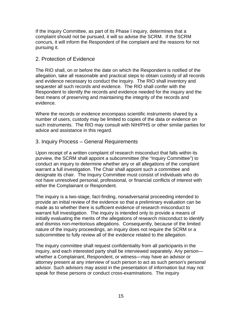<span id="page-14-0"></span>If the Inquiry Committee, as part of its Phase I inquiry, determines that a complaint should not be pursued, it will so advise the SCRM. If the SCRM concurs, it will inform the Respondent of the complaint and the reasons for not pursuing it.

#### 2. Protection of Evidence

The RIO shall, on or before the date on which the Respondent is notified of the allegation, take all reasonable and practical steps to obtain custody of all records and evidence necessary to conduct the inquiry. The RIO shall inventory and sequester all such records and evidence. The RIO shall confer with the Respondent to identify the records and evidence needed for the inquiry and the best means of preserving and maintaining the integrity of the records and evidence.

Where the records or evidence encompass scientific instruments shared by a number of users, custody may be limited to copies of the data or evidence on such instruments. The RIO may consult with NIH/PHS or other similar parties for advice and assistance in this regard.

#### 3. Inquiry Process – General Requirements

Upon receipt of a written complaint of research misconduct that falls within its purview, the SCRM shall appoint a subcommittee (the "Inquiry Committee") to conduct an inquiry to determine whether any or all allegations of the complaint warrant a full investigation. The Chair shall appoint such a committee and designate its chair. The Inquiry Committee must consist of individuals who do not have unresolved personal, professional, or financial conflicts of interest with either the Complainant or Respondent.

The inquiry is a two-stage, fact-finding, nonadversarial proceeding intended to provide an initial review of the evidence so that a preliminary evaluation can be made as to whether there is sufficient evidence of research misconduct to warrant full investigation. The inquiry is intended only to provide a means of initially evaluating the merits of the allegations of research misconduct to identify and dismiss non-meritorious allegations. Consequently, because of the limited nature of the inquiry proceedings, an inquiry does not require the SCRM or a subcommittee to fully review all of the evidence related to the allegation.

The inquiry committee shall request confidentiality from all participants in the inquiry, and each interested party shall be interviewed separately. Any person whether a Complainant, Respondent, or witness—may have an advisor or attorney present at any interview of such person to act as such person's personal advisor. Such advisors may assist in the presentation of information but may not speak for these persons or conduct cross-examinations. The inquiry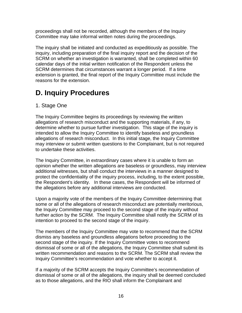<span id="page-15-0"></span>proceedings shall not be recorded, although the members of the Inquiry Committee may take informal written notes during the proceedings.

The inquiry shall be initiated and conducted as expeditiously as possible. The inquiry, including preparation of the final inquiry report and the decision of the SCRM on whether an investigation is warranted, shall be completed within 60 calendar days of the initial written notification of the Respondent unless the SCRM determines that circumstances warrant a longer period. If a time extension is granted, the final report of the Inquiry Committee must include the reasons for the extension.

## **D. Inquiry Procedures**

#### 1. Stage One

The Inquiry Committee begins its proceedings by reviewing the written allegations of research misconduct and the supporting materials, if any, to determine whether to pursue further investigation. This stage of the inquiry is intended to allow the Inquiry Committee to identify baseless and groundless allegations of research misconduct. In this initial stage, the Inquiry Committee may interview or submit written questions to the Complainant, but is not required to undertake these activities.

The Inquiry Committee, in extraordinary cases where it is unable to form an opinion whether the written allegations are baseless or groundless, may interview additional witnesses, but shall conduct the interviews in a manner designed to protect the confidentiality of the inquiry process, including, to the extent possible, the Respondent's identity. In these cases, the Respondent will be informed of the allegations before any additional interviews are conducted.

Upon a majority vote of the members of the Inquiry Committee determining that some or all of the allegations of research misconduct are potentially meritorious, the Inquiry Committee may proceed to the second stage of the inquiry without further action by the SCRM. The Inquiry Committee shall notify the SCRM of its intention to proceed to the second stage of the inquiry.

The members of the Inquiry Committee may vote to recommend that the SCRM dismiss any baseless and groundless allegations before proceeding to the second stage of the inquiry. If the Inquiry Committee votes to recommend dismissal of some or all of the allegations, the Inquiry Committee shall submit its written recommendation and reasons to the SCRM. The SCRM shall review the Inquiry Committee's recommendation and vote whether to accept it.

If a majority of the SCRM accepts the Inquiry Committee's recommendation of dismissal of some or all of the allegations, the inquiry shall be deemed concluded as to those allegations, and the RIO shall inform the Complainant and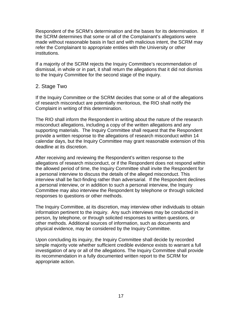<span id="page-16-0"></span>Respondent of the SCRM's determination and the bases for its determination. If the SCRM determines that some or all of the Complainant's allegations were made without reasonable basis in fact and with malicious intent, the SCRM may refer the Complainant to appropriate entities with the University or other institutions.

If a majority of the SCRM rejects the Inquiry Committee's recommendation of dismissal, in whole or in part, it shall return the allegations that it did not dismiss to the Inquiry Committee for the second stage of the inquiry.

#### 2. Stage Two

If the Inquiry Committee or the SCRM decides that some or all of the allegations of research misconduct are potentially meritorious, the RIO shall notify the Complaint in writing of this determination.

The RIO shall inform the Respondent in writing about the nature of the research misconduct allegations, including a copy of the written allegations and any supporting materials. The Inquiry Committee shall request that the Respondent provide a written response to the allegations of research misconduct within 14 calendar days, but the Inquiry Committee may grant reasonable extension of this deadline at its discretion.

After receiving and reviewing the Respondent's written response to the allegations of research misconduct, or if the Respondent does not respond within the allowed period of time, the Inquiry Committee shall invite the Respondent for a personal interview to discuss the details of the alleged misconduct. This interview shall be fact-finding rather than adversarial. If the Respondent declines a personal interview, or in addition to such a personal interview, the Inquiry Committee may also interview the Respondent by telephone or through solicited responses to questions or other methods.

The Inquiry Committee, at its discretion, may interview other individuals to obtain information pertinent to the inquiry. Any such interviews may be conducted in person, by telephone, or through solicited responses to written questions, or other methods. Additional sources of information, such as documents and physical evidence, may be considered by the Inquiry Committee.

Upon concluding its inquiry, the Inquiry Committee shall decide by recorded simple majority vote whether sufficient credible evidence exists to warrant a full investigation of any or all of the allegations. The Inquiry Committee shall provide its recommendation in a fully documented written report to the SCRM for appropriate action.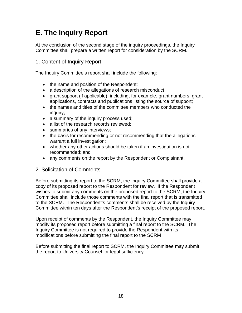## <span id="page-17-0"></span>**E. The Inquiry Report**

At the conclusion of the second stage of the inquiry proceedings, the Inquiry Committee shall prepare a written report for consideration by the SCRM.

#### 1. Content of Inquiry Report

The Inquiry Committee's report shall include the following:

- the name and position of the Respondent;
- a description of the allegations of research misconduct;
- grant support (if applicable), including, for example, grant numbers, grant applications, contracts and publications listing the source of support;
- the names and titles of the committee members who conducted the inquiry;
- a summary of the inquiry process used;
- a list of the research records reviewed;
- summaries of any interviews;
- the basis for recommending or not recommending that the allegations warrant a full investigation;
- whether any other actions should be taken if an investigation is not recommended; and
- any comments on the report by the Respondent or Complainant.
- 2. Solicitation of Comments

Before submitting its report to the SCRM, the Inquiry Committee shall provide a copy of its proposed report to the Respondent for review. If the Respondent wishes to submit any comments on the proposed report to the SCRM, the Inquiry Committee shall include those comments with the final report that is transmitted to the SCRM. The Respondent's comments shall be received by the Inquiry Committee within ten days after the Respondent's receipt of the proposed report.

Upon receipt of comments by the Respondent, the Inquiry Committee may modify its proposed report before submitting a final report to the SCRM. The Inquiry Committee is not required to provide the Respondent with its modifications before submitting the final report to the SCRM

Before submitting the final report to SCRM, the Inquiry Committee may submit the report to University Counsel for legal sufficiency.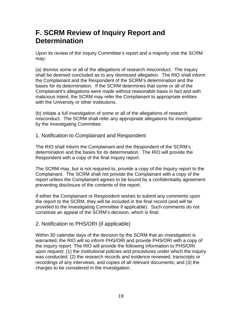### <span id="page-18-0"></span>**F. SCRM Review of Inquiry Report and Determination**

Upon its review of the Inquiry Committee's report and a majority vote the SCRM may:

(a) dismiss some or all of the allegations of research misconduct. The inquiry shall be deemed concluded as to any dismissed allegation. The RIO shall inform the Complainant and the Respondent of the SCRM's determination and the bases for its determination. If the SCRM determines that some or all of the Complainant's allegations were made without reasonable basis in fact and with malicious intent, the SCRM may refer the Complainant to appropriate entities with the University or other institutions.

(b) initiate a full investigation of some or all of the allegations of research misconduct. The SCRM shall refer any appropriate allegations for investigation by the Investigating Committee.

#### 1. Notification to Complainant and Respondent

The RIO shall inform the Complainant and the Respondent of the SCRM's determination and the bases for its determination. The RIO will provide the Respondent with a copy of the final Inquiry report.

The SCRM may, but is not required to, provide a copy of the Inquiry report to the Complainant. The SCRM shall not provide the Complainant with a copy of the report unless the Complainant agrees to be bound by a confidentiality agreement preventing disclosure of the contents of the report.

If either the Complainant or Respondent wishes to submit any comments upon the report to the SCRM, they will be included in the final record (and will be provided to the Investigating Committee if applicable). Such comments do not constitute an appeal of the SCRM's decision, which is final.

#### 2. Notification to PHS/ORI (if applicable)

Within 30 calendar days of the decision by the SCRM that an investigation is warranted, the RIO will so inform PHS/ORI and provide PHS/ORI with a copy of the inquiry report. The RIO will provide the following information to PHS/ORI upon request: (1) the institutional policies and procedures under which the inquiry was conducted; (2) the research records and evidence reviewed, transcripts or recordings of any interviews, and copies of all relevant documents; and (3) the charges to be considered in the investigation.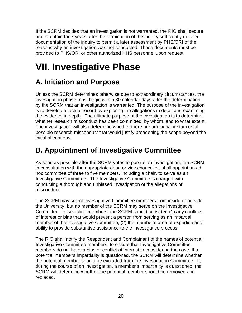<span id="page-19-0"></span>If the SCRM decides that an investigation is not warranted, the RIO shall secure and maintain for 7 years after the termination of the inquiry sufficiently detailed documentation of the inquiry to permit a later assessment by PHS/ORI of the reasons why an investigation was not conducted. These documents must be provided to PHS/ORI or other authorized HHS personnel upon request.

# **VII. Investigative Phase**

### **A. Initiation and Purpose**

Unless the SCRM determines otherwise due to extraordinary circumstances, the investigation phase must begin within 30 calendar days after the determination by the SCRM that an investigation is warranted. The purpose of the investigation is to develop a factual record by exploring the allegations in detail and examining the evidence in depth. The ultimate purpose of the investigation is to determine whether research misconduct has been committed, by whom, and to what extent. The investigation will also determine whether there are additional instances of possible research misconduct that would justify broadening the scope beyond the initial allegations.

### **B. Appointment of Investigative Committee**

As soon as possible after the SCRM votes to pursue an investigation, the SCRM, in consultation with the appropriate dean or vice chancellor, shall appoint an ad hoc committee of three to five members, including a chair, to serve as an Investigative Committee. The Investigative Committee is charged with conducting a thorough and unbiased investigation of the allegations of misconduct.

The SCRM may select Investigative Committee members from inside or outside the University, but no member of the SCRM may serve on the Investigative Committee. In selecting members, the SCRM should consider: (1) any conflicts of interest or bias that would prevent a person from serving as an impartial member of the Investigative Committee; (2) the member's area of expertise and ability to provide substantive assistance to the investigative process.

The RIO shall notify the Respondent and Complainant of the names of potential Investigative Committee members, to ensure that Investigative Committee members do not have a bias or conflict of interest in considering the case. If a potential member's impartiality is questioned, the SCRM will determine whether the potential member should be excluded from the Investigation Committee. If, during the course of an investigation, a member's impartiality is questioned, the SCRM will determine whether the potential member should be removed and replaced.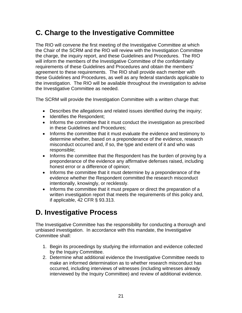### <span id="page-20-0"></span>**C. Charge to the Investigative Committee**

The RIO will convene the first meeting of the Investigative Committee at which the Chair of the SCRM and the RIO will review with the Investigation Committee the charge, the inquiry report, and these Guidelines and Procedures. The RIO will inform the members of the Investigative Committee of the confidentiality requirements of these Guidelines and Procedures and obtain the members' agreement to these requirements. The RIO shall provide each member with these Guidelines and Procedures, as well as any federal standards applicable to the investigation. The RIO will be available throughout the investigation to advise the Investigative Committee as needed.

The SCRM will provide the Investigation Committee with a written charge that:

- Describes the allegations and related issues identified during the inquiry;
- Identifies the Respondent;
- Informs the committee that it must conduct the investigation as prescribed in these Guidelines and Procedures;
- Informs the committee that it must evaluate the evidence and testimony to determine whether, based on a preponderance of the evidence, research misconduct occurred and, if so, the type and extent of it and who was responsible;
- Informs the committee that the Respondent has the burden of proving by a preponderance of the evidence any affirmative defenses raised, including honest error or a difference of opinion;
- Informs the committee that it must determine by a preponderance of the evidence whether the Respondent committed the research misconduct intentionally, knowingly, or recklessly.
- Informs the committee that it must prepare or direct the preparation of a written investigation report that meets the requirements of this policy and, if applicable, 42 CFR § 93.313.

### **D. Investigative Process**

The Investigative Committee has the responsibility for conducting a thorough and unbiased investigation. In accordance with this mandate, the Investigative Committee shall:

- 1. Begin its proceedings by studying the information and evidence collected by the Inquiry Committee.
- 2. Determine what additional evidence the Investigative Committee needs to make an informed determination as to whether research misconduct has occurred, including interviews of witnesses (including witnesses already interviewed by the Inquiry Committee) and review of additional evidence.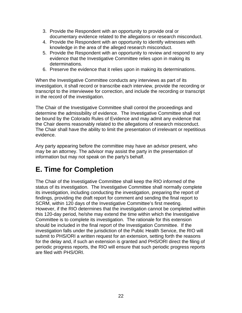- <span id="page-21-0"></span>3. Provide the Respondent with an opportunity to provide oral or documentary evidence related to the allegations or research misconduct.
- 4. Provide the Respondent with an opportunity to identify witnesses with knowledge in the area of the alleged research misconduct.
- 5. Provide the Respondent with an opportunity to review and respond to any evidence that the Investigative Committee relies upon in making its determinations.
- 6. Preserve the evidence that it relies upon in making its determinations.

When the Investigative Committee conducts any interviews as part of its investigation, it shall record or transcribe each interview, provide the recording or transcript to the interviewee for correction, and include the recording or transcript in the record of the investigation.

The Chair of the Investigative Committee shall control the proceedings and determine the admissibility of evidence. The Investigative Committee shall not be bound by the Colorado Rules of Evidence and may admit any evidence that the Chair deems reasonably related to the allegations of research misconduct. The Chair shall have the ability to limit the presentation of irrelevant or repetitious evidence.

Any party appearing before the committee may have an advisor present, who may be an attorney. The advisor may assist the party in the presentation of information but may not speak on the party's behalf.

### **E. Time for Completion**

The Chair of the Investigative Committee shall keep the RIO informed of the status of its investigation. The Investigative Committee shall normally complete its investigation, including conducting the investigation, preparing the report of findings, providing the draft report for comment and sending the final report to SCRM, within 120 days of the Investigative Committee's first meeting. However, if the RIO determines that the investigation cannot be completed within this 120-day period, he/she may extend the time within which the Investigative Committee is to complete its investigation. The rationale for this extension should be included in the final report of the Investigation Committee. If the investigation falls under the jurisdiction of the Public Health Service, the RIO will submit to PHS/ORI a written request for an extension, setting forth the reasons for the delay and, if such an extension is granted and PHS/ORI direct the filing of periodic progress reports, the RIO will ensure that such periodic progress reports are filed with PHS/ORI.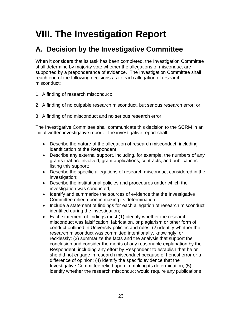# <span id="page-22-0"></span>**VIII. The Investigation Report**

### **A. Decision by the Investigative Committee**

When it considers that its task has been completed, the Investigation Committee shall determine by majority vote whether the allegations of misconduct are supported by a preponderance of evidence. The Investigation Committee shall reach one of the following decisions as to each allegation of research misconduct:

- 1. A finding of research misconduct;
- 2. A finding of no culpable research misconduct, but serious research error; or
- 3. A finding of no misconduct and no serious research error.

The Investigative Committee shall communicate this decision to the SCRM in an initial written investigative report. The investigative report shall:

- Describe the nature of the allegation of research misconduct, including identification of the Respondent;
- Describe any external support, including, for example, the numbers of any grants that are involved, grant applications, contracts, and publications listing this support;
- Describe the specific allegations of research misconduct considered in the investigation;
- Describe the institutional policies and procedures under which the investigation was conducted;
- Identify and summarize the sources of evidence that the Investigative Committee relied upon in making its determination;
- Include a statement of findings for each allegation of research misconduct identified during the investigation;
- Each statement of findings must (1) identify whether the research misconduct was falsification, fabrication, or plagiarism or other form of conduct outlined in University policies and rules; (2) identify whether the research misconduct was committed intentionally, knowingly, or recklessly; (3) summarize the facts and the analysis that support the conclusion and consider the merits of any reasonable explanation by the Respondent, including any effort by Respondent to establish that he or she did not engage in research misconduct because of honest error or a difference of opinion; (4) identify the specific evidence that the Investigative Committee relied upon in making its determination; (5) identify whether the research misconduct would require any publications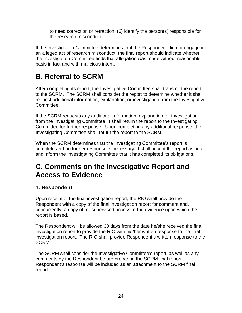<span id="page-23-0"></span>to need correction or retraction; (6) identify the person(s) responsible for the research misconduct.

If the Investigation Committee determines that the Respondent did not engage in an alleged act of research misconduct, the final report should indicate whether the Investigation Committee finds that allegation was made without reasonable basis in fact and with malicious intent.

# **B. Referral to SCRM**

After completing its report, the Investigative Committee shall transmit the report to the SCRM. The SCRM shall consider the report to determine whether it shall request additional information, explanation, or investigation from the Investigative Committee.

If the SCRM requests any additional information, explanation, or investigation from the Investigating Committee, it shall return the report to the Investigating Committee for further response. Upon completing any additional response, the Investigating Committee shall return the report to the SCRM.

When the SCRM determines that the Investigating Committee's report is complete and no further response is necessary, it shall accept the report as final and inform the Investigating Committee that it has completed its obligations.

### **C. Comments on the Investigative Report and Access to Evidence**

#### **1. Respondent**

Upon receipt of the final investigation report, the RIO shall provide the Respondent with a copy of the final investigation report for comment and, concurrently, a copy of, or supervised access to the evidence upon which the report is based.

The Respondent will be allowed 30 days from the date he/she received the final investigation report to provide the RIO with his/her written response to the final investigation report. The RIO shall provide Respondent's written response to the SCRM.

The SCRM shall consider the Investigative Committee's report, as well as any comments by the Respondent before preparing the SCRM final report. Respondent's response will be included as an attachment to the SCRM final report.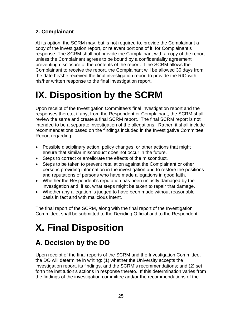#### <span id="page-24-0"></span>**2. Complainant**

At its option, the SCRM may, but is not required to, provide the Complainant a copy of the investigation report, or relevant portions of it, for Complainant's response. The SCRM shall not provide the Complainant with a copy of the report unless the Complainant agrees to be bound by a confidentiality agreement preventing disclosure of the contents of the report. If the SCRM allows the Complainant to receive the report, the Complainant will be allowed 30 days from the date he/she received the final investigation report to provide the RIO with his/her written response to the final investigation report.

# **IX. Disposition by the SCRM**

Upon receipt of the Investigation Committee's final investigation report and the responses thereto, if any, from the Respondent or Complainant, the SCRM shall review the same and create a final SCRM report. The final SCRM report is not intended to be a separate investigation of the allegations. Rather, it shall include recommendations based on the findings included in the Investigative Committee Report regarding:

- Possible disciplinary action, policy changes, or other actions that might ensure that similar misconduct does not occur in the future.
- Steps to correct or ameliorate the effects of the misconduct.
- Steps to be taken to prevent retaliation against the Complainant or other persons providing information in the investigation and to restore the positions and reputations of persons who have made allegations in good faith.
- Whether the Respondent's reputation has been unjustly damaged by the investigation and, if so, what steps might be taken to repair that damage.
- Whether any allegation is judged to have been made without reasonable basis in fact and with malicious intent.

The final report of the SCRM, along with the final report of the Investigation Committee, shall be submitted to the Deciding Official and to the Respondent.

# **X. Final Disposition**

### **A. Decision by the DO**

Upon receipt of the final reports of the SCRM and the Investigation Committee, the DO will determine in writing: (1) whether the University accepts the investigation report, its findings, and the SCRM's recommendations; and (2) set forth the institution's actions in response thereto. If this determination varies from the findings of the investigation committee and/or the recommendations of the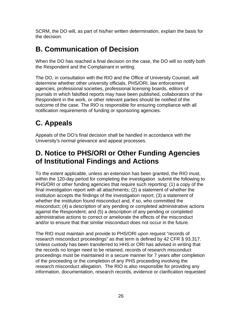<span id="page-25-0"></span>SCRM, the DO will, as part of his/her written determination, explain the basis for the decision.

## **B. Communication of Decision**

When the DO has reached a final decision on the case, the DO will so notify both the Respondent and the Complainant in writing.

The DO, in consultation with the RIO and the Office of University Counsel, will determine whether other university officials, PHS/ORI, law enforcement agencies, professional societies, professional licensing boards, editors of journals in which falsified reports may have been published, collaborators of the Respondent in the work, or other relevant parties should be notified of the outcome of the case. The RIO is responsible for ensuring compliance with all notification requirements of funding or sponsoring agencies.

# **C. Appeals**

Appeals of the DO's final decision shall be handled in accordance with the University's normal grievance and appeal processes.

### **D. Notice to PHS/ORI or Other Funding Agencies of Institutional Findings and Actions**

To the extent applicable, unless an extension has been granted, the RIO must, within the 120-day period for completing the investigation submit the following to PHS/ORI or other funding agencies that require such reporting: (1) a copy of the final investigation report with all attachments; (2) a statement of whether the institution accepts the findings of the investigation report; (3) a statement of whether the institution found misconduct and, if so, who committed the misconduct; (4) a description of any pending or completed administrative actions against the Respondent; and (5) a description of any pending or completed administrative actions to correct or ameliorate the effects of the misconduct and/or to ensure that that similar misconduct does not occur in the future.

The RIO must maintain and provide to PHS/ORI upon request "records of research misconduct proceedings" as that term is defined by 42 CFR § 93.317. Unless custody has been transferred to HHS or ORI has advised in writing that the records no longer need to be retained, records of research misconduct proceedings must be maintained in a secure manner for 7 years after completion of the proceeding or the completion of any PHS proceeding involving the research misconduct allegation. The RIO is also responsible for providing any information, documentation, research records, evidence or clarification requested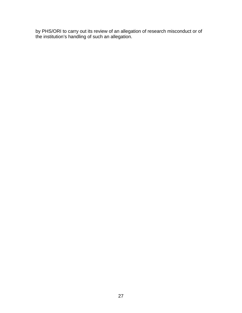by PHS/ORI to carry out its review of an allegation of research misconduct or of the institution's handling of such an allegation.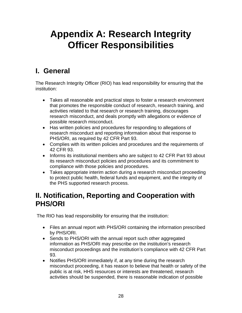# <span id="page-27-0"></span>**Appendix A: Research Integrity Officer Responsibilities**

## **I. General**

The Research Integrity Officer (RIO) has lead responsibility for ensuring that the institution:

- Takes all reasonable and practical steps to foster a research environment that promotes the responsible conduct of research, research training, and activities related to that research or research training, discourages research misconduct, and deals promptly with allegations or evidence of possible research misconduct.
- Has written policies and procedures for responding to allegations of research misconduct and reporting information about that response to PHS/ORI, as required by 42 CFR Part 93.
- Complies with its written policies and procedures and the requirements of 42 CFR 93.
- Informs its institutional members who are subject to 42 CFR Part 93 about its research misconduct policies and procedures and its commitment to compliance with those policies and procedures.
- Takes appropriate interim action during a research misconduct proceeding to protect public health, federal funds and equipment, and the integrity of the PHS supported research process.

### **II. Notification, Reporting and Cooperation with PHS/ORI**

The RIO has lead responsibility for ensuring that the institution:

- Files an annual report with PHS/ORI containing the information prescribed by PHS/ORI.
- Sends to PHS/ORI with the annual report such other aggregated information as PHS/ORI may prescribe on the institution's research misconduct proceedings and the institution's compliance with 42 CFR Part 93.
- Notifies PHS/ORI immediately if, at any time during the research misconduct proceeding, it has reason to believe that health or safety of the public is at risk, HHS resources or interests are threatened, research activities should be suspended, there is reasonable indication of possible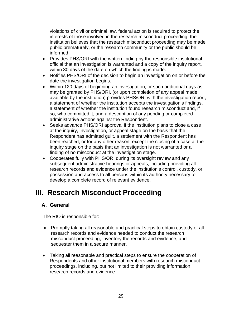<span id="page-28-0"></span>violations of civil or criminal law, federal action is required to protect the interests of those involved in the research misconduct proceeding, the institution believes that the research misconduct proceeding may be made public prematurely, or the research community or the public should be informed.

- Provides PHS/ORI with the written finding by the responsible institutional official that an investigation is warranted and a copy of the inquiry report, within 30 days of the date on which the finding is made.
- Notifies PHS/ORI of the decision to begin an investigation on or before the date the investigation begins.
- Within 120 days of beginning an investigation, or such additional days as may be granted by PHS/ORI, (or upon completion of any appeal made available by the institution) provides PHS/ORI with the investigation report, a statement of whether the institution accepts the investigation's findings, a statement of whether the institution found research misconduct and, if so, who committed it, and a description of any pending or completed administrative actions against the Respondent.
- Seeks advance PHS/ORI approval if the institution plans to close a case at the inquiry, investigation, or appeal stage on the basis that the Respondent has admitted guilt, a settlement with the Respondent has been reached, or for any other reason, except the closing of a case at the inquiry stage on the basis that an investigation is not warranted or a finding of no misconduct at the investigation stage.
- Cooperates fully with PHS/ORI during its oversight review and any subsequent administrative hearings or appeals, including providing all research records and evidence under the institution's control, custody, or possession and access to all persons within its authority necessary to develop a complete record of relevant evidence.

### **III. Research Misconduct Proceeding**

#### **A. General**

The RIO is responsible for:

- Promptly taking all reasonable and practical steps to obtain custody of all research records and evidence needed to conduct the research misconduct proceeding, inventory the records and evidence, and sequester them in a secure manner.
- Taking all reasonable and practical steps to ensure the cooperation of Respondents and other institutional members with research misconduct proceedings, including, but not limited to their providing information, research records and evidence.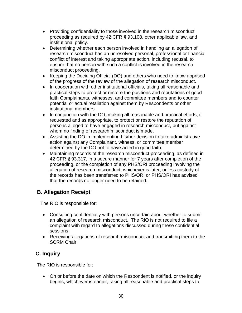- <span id="page-29-0"></span>• Providing confidentiality to those involved in the research misconduct proceeding as required by 42 CFR § 93.108, other applicable law, and institutional policy.
- Determining whether each person involved in handling an allegation of research misconduct has an unresolved personal, professional or financial conflict of interest and taking appropriate action, including recusal, to ensure that no person with such a conflict is involved in the research misconduct proceeding.
- Keeping the Deciding Official (DO) and others who need to know apprised of the progress of the review of the allegation of research misconduct.
- In cooperation with other institutional officials, taking all reasonable and practical steps to protect or restore the positions and reputations of good faith Complainants, witnesses, and committee members and to counter potential or actual retaliation against them by Respondents or other institutional members.
- In conjunction with the DO, making all reasonable and practical efforts, if requested and as appropriate, to protect or restore the reputation of persons alleged to have engaged in research misconduct, but against whom no finding of research misconduct is made.
- Assisting the DO in implementing his/her decision to take administrative action against any Complainant, witness, or committee member determined by the DO not to have acted in good faith.
- Maintaining records of the research misconduct proceeding, as defined in 42 CFR § 93.317, in a secure manner for 7 years after completion of the proceeding, or the completion of any PHS/ORI proceeding involving the allegation of research misconduct, whichever is later, unless custody of the records has been transferred to PHS/ORI or PHS/ORI has advised that the records no longer need to be retained.

#### **B. Allegation Receipt**

The RIO is responsible for:

- Consulting confidentially with persons uncertain about whether to submit an allegation of research misconduct. The RIO is not required to file a complaint with regard to allegations discussed during these confidential sessions.
- Receiving allegations of research misconduct and transmitting them to the SCRM Chair.

#### **C. Inquiry**

The RIO is responsible for:

• On or before the date on which the Respondent is notified, or the inquiry begins, whichever is earlier, taking all reasonable and practical steps to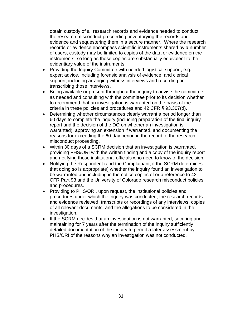obtain custody of all research records and evidence needed to conduct the research misconduct proceeding, inventorying the records and evidence and sequestering them in a secure manner. Where the research records or evidence encompass scientific instruments shared by a number of users, custody may be limited to copies of the data or evidence on the instruments, so long as those copies are substantially equivalent to the evidentiary value of the instruments.

- Providing the Inquiry Committee with needed logistical support, e.g., expert advice, including forensic analysis of evidence, and clerical support, including arranging witness interviews and recording or transcribing those interviews.
- Being available or present throughout the inquiry to advise the committee as needed and consulting with the committee prior to its decision whether to recommend that an investigation is warranted on the basis of the criteria in these policies and procedures and 42 CFR § 93.307(d).
- Determining whether circumstances clearly warrant a period longer than 60 days to complete the inquiry (including preparation of the final inquiry report and the decision of the DO on whether an investigation is warranted), approving an extension if warranted, and documenting the reasons for exceeding the 60-day period in the record of the research misconduct proceeding.
- Within 30 days of a SCRM decision that an investigation is warranted, providing PHS/ORI with the written finding and a copy of the inquiry report and notifying those institutional officials who need to know of the decision.
- Notifying the Respondent (and the Complainant, if the SCRM determines that doing so is appropriate) whether the inquiry found an investigation to be warranted and including in the notice copies of or a reference to 42 CFR Part 93 and the University of Colorado research misconduct policies and procedures.
- Providing to PHS/ORI, upon request, the institutional policies and procedures under which the inquiry was conducted, the research records and evidence reviewed, transcripts or recordings of any interviews, copies of all relevant documents, and the allegations to be considered in the investigation.
- If the SCRM decides that an investigation is not warranted, securing and maintaining for 7 years after the termination of the inquiry sufficiently detailed documentation of the inquiry to permit a later assessment by PHS/ORI of the reasons why an investigation was not conducted.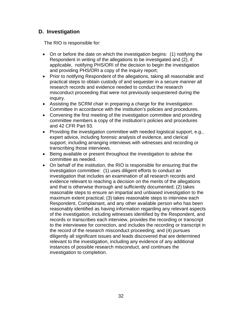#### <span id="page-31-0"></span> **D. Investigation**

The RIO is responsible for:

- On or before the date on which the investigation begins: (1) notifying the Respondent in writing of the allegations to be investigated and (2), if applicable, notifying PHS/ORI of the decision to begin the investigation and providing PHS/ORI a copy of the inquiry report;
- Prior to notifying Respondent of the allegations, taking all reasonable and practical steps to obtain custody of and sequester in a secure manner all research records and evidence needed to conduct the research misconduct proceeding that were not previously sequestered during the inquiry.
- Assisting the SCRM chair in preparing a charge for the Investigation Committee in accordance with the institution's policies and procedures.
- Convening the first meeting of the investigation committee and providing committee members a copy of the institution's policies and procedures and 42 CFR Part 93.
- Providing the investigation committee with needed logistical support, e.g., expert advice, including forensic analysis of evidence, and clerical support, including arranging interviews with witnesses and recording or transcribing those interviews.
- Being available or present throughout the investigation to advise the committee as needed.
- On behalf of the institution, the RIO is responsible for ensuring that the investigation committee: (1) uses diligent efforts to conduct an investigation that includes an examination of all research records and evidence relevant to reaching a decision on the merits of the allegations and that is otherwise thorough and sufficiently documented; (2) takes reasonable steps to ensure an impartial and unbiased investigation to the maximum extent practical; (3) takes reasonable steps to interview each Respondent, Complainant, and any other available person who has been reasonably identified as having information regarding any relevant aspects of the investigation, including witnesses identified by the Respondent, and records or transcribes each interview, provides the recording or transcript to the interviewee for correction, and includes the recording or transcript in the record of the research misconduct proceeding; and (4) pursues diligently all significant issues and leads discovered that are determined relevant to the investigation, including any evidence of any additional instances of possible research misconduct, and continues the investigation to completion.